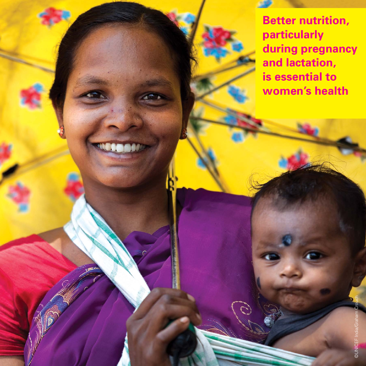**Better nutrition, particularly during pregnancy and lactation, is essential to women's health**

©UNICEF India/Graham Crouch

**©UNICEF**